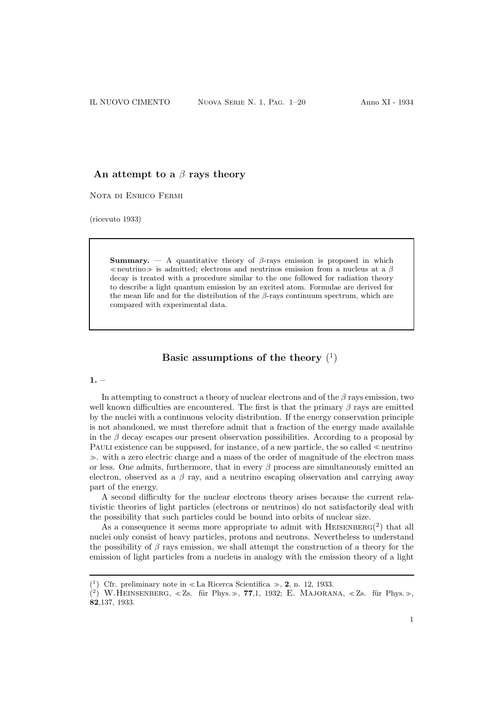# An attempt to a  $\beta$  rays theory

Nota di Enrico Fermi

(ricevuto 1933)

**Summary.** — A quantitative theory of  $\beta$ -rays emission is proposed in which <sup>≪</sup>neutrino<sup>≫</sup> is admitted; electrons and neutrinos emission from a nucleus at a β decay is treated with a procedure similar to the one followed for radiation theory to describe a light quantum emission by an excited atom. Formulae are derived for the mean life and for the distribution of the  $\beta$ -rays continuum spectrum, which are compared with experimental data.

# Basic assumptions of the theory  $(^{1})$

#### $1. -$

In attempting to construct a theory of nuclear electrons and of the  $\beta$  rays emission, two well known difficulties are encountered. The first is that the primary  $\beta$  rays are emitted by the nuclei with a continuous velocity distribution. If the energy conservation principle is not abandoned, we must therefore admit that a fraction of the energy made available in the  $\beta$  decay escapes our present observation possibilities. According to a proposal by Pauli existence can be supposed, for instance, of a new particle, the so called <sup>≪</sup> neutrino <sup>≫</sup>. with a zero electric charge and a mass of the order of magnitude of the electron mass or less. One admits, furthermore, that in every  $\beta$  process are simultaneously emitted an electron, observed as a  $\beta$  ray, and a neutrino escaping observation and carrying away part of the energy.

A second difficulty for the nuclear electrons theory arises because the current relativistic theories of light particles (electrons or neutrinos) do not satisfactorily deal with the possibility that such particles could be bound into orbits of nuclear size.

As a consequence it seems more appropriate to admit with  $H$ EISENBERG(2) that all nuclei only consist of heavy particles, protons and neutrons. Nevertheless to understand the possibility of  $\beta$  rays emission, we shall attempt the construction of a theory for the emission of light particles from a nucleus in analogy with the emission theory of a light

<sup>(&</sup>lt;sup>1</sup>) Cfr. preliminary note in «La Ricerca Scientifica », **2**, n. 12, 1933.

 $(2)$  W.HEINSENBERG, «Zs. für Phys.», 77,1, 1932; E. MAJORANA, «Zs. für Phys.», 82,137, 1933.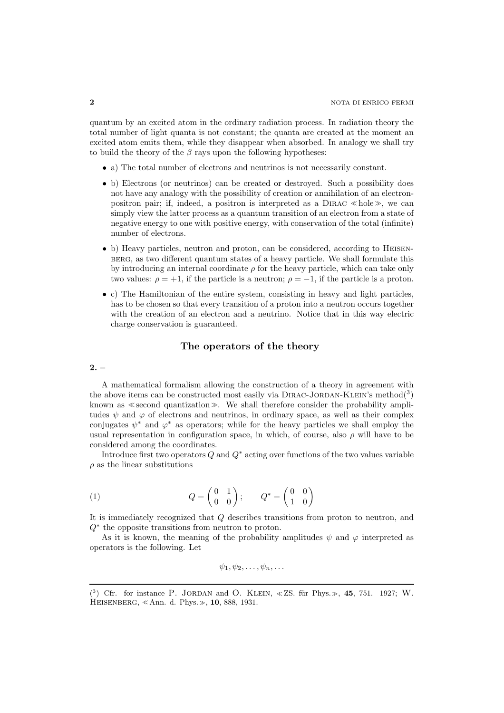quantum by an excited atom in the ordinary radiation process. In radiation theory the total number of light quanta is not constant; the quanta are created at the moment an excited atom emits them, while they disappear when absorbed. In analogy we shall try to build the theory of the  $\beta$  rays upon the following hypotheses:

- a) The total number of electrons and neutrinos is not necessarily constant.
- b) Electrons (or neutrinos) can be created or destroyed. Such a possibility does not have any analogy with the possibility of creation or annihilation of an electronpositron pair; if, indeed, a positron is interpreted as a  $DIRAC \ll hole \gg$ , we can simply view the latter process as a quantum transition of an electron from a state of negative energy to one with positive energy, with conservation of the total (infinite) number of electrons.
- b) Heavy particles, neutron and proton, can be considered, according to Heisenberg, as two different quantum states of a heavy particle. We shall formulate this by introducing an internal coordinate  $\rho$  for the heavy particle, which can take only two values:  $\rho = +1$ , if the particle is a neutron;  $\rho = -1$ , if the particle is a proton.
- c) The Hamiltonian of the entire system, consisting in heavy and light particles, has to be chosen so that every transition of a proton into a neutron occurs together with the creation of an electron and a neutrino. Notice that in this way electric charge conservation is guaranteed.

#### The operators of the theory

#### $2. -$

A mathematical formalism allowing the construction of a theory in agreement with the above items can be constructed most easily via  $DIRAC-JORDAN-KLEIN's method(^3)$ known as <sup>≪</sup>second quantization≫. We shall therefore consider the probability amplitudes  $\psi$  and  $\varphi$  of electrons and neutrinos, in ordinary space, as well as their complex conjugates  $\psi^*$  and  $\varphi^*$  as operators; while for the heavy particles we shall employ the usual representation in configuration space, in which, of course, also  $\rho$  will have to be considered among the coordinates.

Introduce first two operators  $Q$  and  $Q^*$  acting over functions of the two values variable  $\rho$  as the linear substitutions

(1) 
$$
Q = \begin{pmatrix} 0 & 1 \\ 0 & 0 \end{pmatrix}; \qquad Q^* = \begin{pmatrix} 0 & 0 \\ 1 & 0 \end{pmatrix}
$$

It is immediately recognized that Q describes transitions from proton to neutron, and Q<sup>∗</sup> the opposite transitions from neutron to proton.

As it is known, the meaning of the probability amplitudes  $\psi$  and  $\varphi$  interpreted as operators is the following. Let

 $\psi_1, \psi_2, \ldots, \psi_n, \ldots$ 

<sup>(3)</sup> Cfr. for instance P. JORDAN and O. KLEIN,  $\ll$  ZS. für Phys.  $\gg$ , 45, 751. 1927; W. Heisenberg, <sup>≪</sup> Ann. d. Phys.≫, 10, 888, 1931.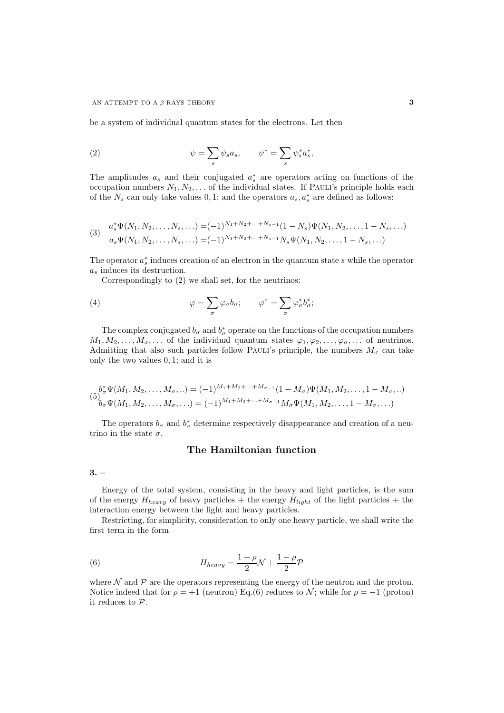be a system of individual quantum states for the electrons. Let then

(2) 
$$
\psi = \sum_s \psi_s a_s, \qquad \psi^* = \sum_s \psi_s^* a_s^*,
$$

The amplitudes  $a_s$  and their conjugated  $a_s^*$  are operators acting on functions of the occupation numbers  $N_1, N_2, \ldots$  of the individual states. If PAULI's principle holds each of the  $N_s$  can only take values 0, 1; and the operators  $a_s, a_s^*$  are defined as follows:

(3) 
$$
a_s^* \Psi(N_1, N_2, \dots, N_s, \dots) = (-1)^{N_1 + N_2 + \dots + N_{s-1}} (1 - N_s) \Psi(N_1, N_2, \dots, 1 - N_s, \dots)
$$

$$
a_s \Psi(N_1, N_2, \dots, N_s, \dots) = (-1)^{N_1 + N_2 + \dots + N_{s-1}} N_s \Psi(N_1, N_2, \dots, 1 - N_s, \dots)
$$

The operator  $a_s^*$  induces creation of an electron in the quantum state s while the operator a<sup>s</sup> induces its destruction.

Correspondingly to (2) we shall set, for the neutrinos:

(4) 
$$
\varphi = \sum_{\sigma} \varphi_{\sigma} b_{\sigma}; \qquad \varphi^* = \sum_{\sigma} \varphi_{\sigma}^* b_{\sigma}^*;
$$

The complex conjugated  $b_{\sigma}$  and  $b_{\sigma}^*$  operate on the functions of the occupation numbers  $M_1, M_2, \ldots, M_{\sigma}, \ldots$  of the individual quantum states  $\varphi_1, \varphi_2, \ldots, \varphi_{\sigma}, \ldots$  of neutrinos. Admitting that also such particles follow PAULI's principle, the numbers  $M_{\sigma}$  can take only the two values 0, 1; and it is

$$
(5)^{b_{\sigma}^{*}\Psi(M_{1},M_{2},\ldots,M_{\sigma},\ldots)}_{b_{\sigma}\Psi(M_{1},M_{2},\ldots,M_{\sigma},\ldots)} = (-1)^{M_{1}+M_{2}+\ldots+M_{\sigma-1}}(1-M_{\sigma})\Psi(M_{1},M_{2},\ldots,1-M_{\sigma},\ldots)
$$
  

$$
(5)^{b_{\sigma}^{*}\Psi(M_{1},M_{2},\ldots,M_{\sigma},\ldots)} = (-1)^{M_{1}+M_{2}+\ldots+M_{\sigma-1}}M_{\sigma}\Psi(M_{1},M_{2},\ldots,1-M_{\sigma},\ldots)
$$

The operators  $b_{\sigma}$  and  $b_{\sigma}^*$  determine respectively disappearance and creation of a neutrino in the state  $\sigma.$ 

# The Hamiltonian function

 $3. -$ 

Energy of the total system, consisting in the heavy and light particles, is the sum of the energy  $H_{heavy}$  of heavy particles + the energy  $H_{light}$  of the light particles + the interaction energy between the light and heavy particles.

Restricting, for simplicity, consideration to only one heavy particle, we shall write the first term in the form

(6) 
$$
H_{heavy} = \frac{1+\rho}{2}\mathcal{N} + \frac{1-\rho}{2}\mathcal{P}
$$

where  $\mathcal N$  and  $\mathcal P$  are the operators representing the energy of the neutron and the proton. Notice indeed that for  $\rho = +1$  (neutron) Eq.(6) reduces to N; while for  $\rho = -1$  (proton) it reduces to P.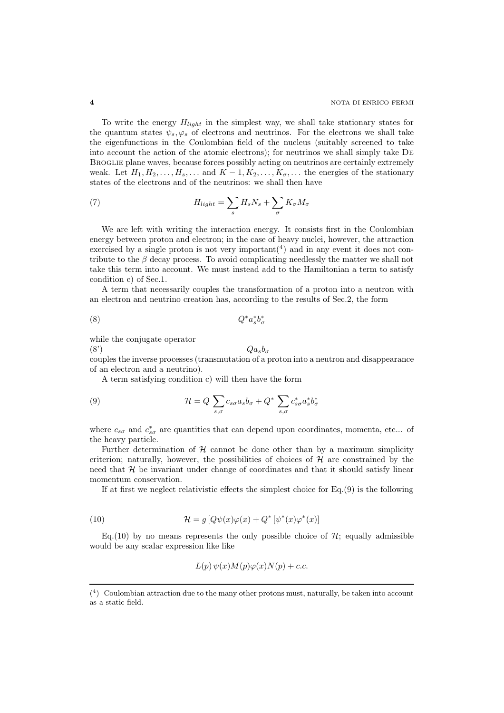To write the energy  $H_{light}$  in the simplest way, we shall take stationary states for the quantum states  $\psi_s, \varphi_s$  of electrons and neutrinos. For the electrons we shall take the eigenfunctions in the Coulombian field of the nucleus (suitably screened to take into account the action of the atomic electrons); for neutrinos we shall simply take De Broglie plane waves, because forces possibly acting on neutrinos are certainly extremely weak. Let  $H_1, H_2, \ldots, H_s, \ldots$  and  $K-1, K_2, \ldots, K_{\sigma}$ , ... the energies of the stationary states of the electrons and of the neutrinos: we shall then have

(7) 
$$
H_{light} = \sum_{s} H_{s} N_{s} + \sum_{\sigma} K_{\sigma} M_{\sigma}
$$

We are left with writing the interaction energy. It consists first in the Coulombian energy between proton and electron; in the case of heavy nuclei, however, the attraction exercised by a single proton is not very important $(4)$  and in any event it does not contribute to the  $\beta$  decay process. To avoid complicating needlessly the matter we shall not take this term into account. We must instead add to the Hamiltonian a term to satisfy condition c) of Sec.1.

A term that necessarily couples the transformation of a proton into a neutron with an electron and neutrino creation has, according to the results of Sec.2, the form

$$
(8) \tQ^* a_s^* b_\sigma^*
$$

while the conjugate operator

(8')  $Qa_s b_\sigma$ 

couples the inverse processes (transmutation of a proton into a neutron and disappearance of an electron and a neutrino).

A term satisfying condition c) will then have the form

(9) 
$$
\mathcal{H} = Q \sum_{s,\sigma} c_{s\sigma} a_s b_\sigma + Q^* \sum_{s,\sigma} c^*_{s\sigma} a^*_s b^*_\sigma
$$

where  $c_{s\sigma}$  and  $c_{s\sigma}^*$  are quantities that can depend upon coordinates, momenta, etc... of the heavy particle.

Further determination of  $H$  cannot be done other than by a maximum simplicity criterion; naturally, however, the possibilities of choices of  $H$  are constrained by the need that  $H$  be invariant under change of coordinates and that it should satisfy linear momentum conservation.

If at first we neglect relativistic effects the simplest choice for  $Eq.(9)$  is the following

(10) 
$$
\mathcal{H} = g \left[ Q \psi(x) \varphi(x) + Q^* \left[ \psi^*(x) \varphi^*(x) \right] \right]
$$

Eq.(10) by no means represents the only possible choice of  $H$ ; equally admissible would be any scalar expression like like

$$
L(p)\,\psi(x)M(p)\varphi(x)N(p)+c.c.
$$

<sup>(</sup> 4 ) Coulombian attraction due to the many other protons must, naturally, be taken into account as a static field.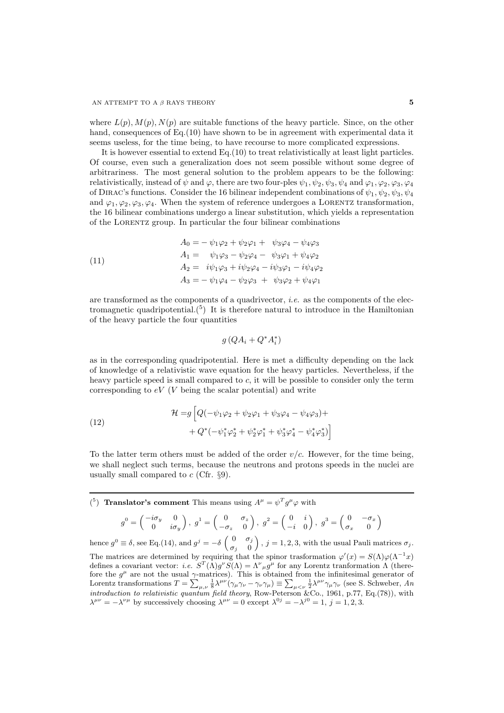where  $L(p)$ ,  $M(p)$ ,  $N(p)$  are suitable functions of the heavy particle. Since, on the other hand, consequences of Eq. (10) have shown to be in agreement with experimental data it seems useless, for the time being, to have recourse to more complicated expressions.

It is however essential to extend Eq.(10) to treat relativistically at least light particles. Of course, even such a generalization does not seem possible without some degree of arbitrariness. The most general solution to the problem appears to be the following: relativistically, instead of  $\psi$  and  $\varphi$ , there are two four-ples  $\psi_1, \psi_2, \psi_3, \psi_4$  and  $\varphi_1, \varphi_2, \varphi_3, \varphi_4$ of DIRAC's functions. Consider the 16 bilinear independent combinations of  $\psi_1, \psi_2, \psi_3, \psi_4$ and  $\varphi_1, \varphi_2, \varphi_3, \varphi_4$ . When the system of reference undergoes a LORENTZ transformation, the 16 bilinear combinations undergo a linear substitution, which yields a representation of the Lorentz group. In particular the four bilinear combinations

(11)  
\n
$$
A_0 = -\psi_1 \varphi_2 + \psi_2 \varphi_1 + \psi_3 \varphi_4 - \psi_4 \varphi_3
$$
\n
$$
A_1 = \psi_1 \varphi_3 - \psi_2 \varphi_4 - \psi_3 \varphi_1 + \psi_4 \varphi_2
$$
\n
$$
A_2 = i\psi_1 \varphi_3 + i\psi_2 \varphi_4 - i\psi_3 \varphi_1 - i\psi_4 \varphi_2
$$
\n
$$
A_3 = -\psi_1 \varphi_4 - \psi_2 \varphi_3 + \psi_3 \varphi_2 + \psi_4 \varphi_1
$$

are transformed as the components of a quadrivector, *i.e.* as the components of the electromagnetic quadripotential.<sup>(5)</sup> It is therefore natural to introduce in the Hamiltonian of the heavy particle the four quantities

$$
g\left(QA_i + Q^*A_i^*\right)
$$

as in the corresponding quadripotential. Here is met a difficulty depending on the lack of knowledge of a relativistic wave equation for the heavy particles. Nevertheless, if the heavy particle speed is small compared to c, it will be possible to consider only the term corresponding to  $eV$  (*V* being the scalar potential) and write

(12) 
$$
\mathcal{H} = g \left[ Q(-\psi_1 \varphi_2 + \psi_2 \varphi_1 + \psi_3 \varphi_4 - \psi_4 \varphi_3) + \right. \\ + Q^*(-\psi_1^* \varphi_2^* + \psi_2^* \varphi_1^* + \psi_3^* \varphi_4^* - \psi_4^* \varphi_3^*) \right]
$$

To the latter term others must be added of the order  $v/c$ . However, for the time being, we shall neglect such terms, because the neutrons and protons speeds in the nuclei are usually small compared to  $c$  (Cfr.  $\S$ 9).

<sup>(5</sup>) **Translator's comment** This means using  $A^{\mu} = \psi^T g^{\mu} \varphi$  with

$$
g^{0} = \begin{pmatrix} -i\sigma_{y} & 0 \\ 0 & i\sigma_{y} \end{pmatrix}, g^{1} = \begin{pmatrix} 0 & \sigma_{z} \\ -\sigma_{z} & 0 \end{pmatrix}, g^{2} = \begin{pmatrix} 0 & i \\ -i & 0 \end{pmatrix}, g^{3} = \begin{pmatrix} 0 & -\sigma_{x} \\ \sigma_{x} & 0 \end{pmatrix}
$$

hence  $g^0 \equiv \delta$ , see Eq.(14), and  $g^j = -\delta \begin{pmatrix} 0 & \sigma_j \\ 0 & 0 \end{pmatrix}$  $\sigma_j=0$  $, j = 1, 2, 3$ , with the usual Pauli matrices  $\sigma_j$ . The matrices are determined by requiring that the spinor trasformation  $\varphi'(x) = S(\Lambda)\varphi(\Lambda^{-1}x)$ defines a covariant vector: i.e.  $S^{T}(\Lambda)g^{\nu}S(\Lambda) = \Lambda^{\nu}{}_{\mu}g^{\mu}$  for any Lorentz tranformation  $\Lambda$  (therefore the  $g^{\mu}$  are not the usual  $\gamma$ -matrices). This is obtained from the infinitesimal generator of Lorentz transformations  $T = \sum_{\mu,\nu}$  $\frac{1}{8}\lambda^{\mu\nu}\H(\gamma_\mu\gamma_\nu-\gamma_\nu\gamma_\mu)\equiv\sum_{\mu<\nu}$  $\frac{1}{2}\lambda^{\mu\nu}\gamma_{\mu}\gamma_{\nu}$  (see S. Schweber, An introduction to relativistic quantum field theory, Row-Peterson &Co., 1961, p.77, Eq.(78)), with  $\lambda^{\mu\nu} = -\lambda^{\nu\mu}$  by successively choosing  $\lambda^{\mu\nu} = 0$  except  $\lambda^{0j} = -\lambda^{j0} = 1$ ,  $j = 1, 2, 3$ .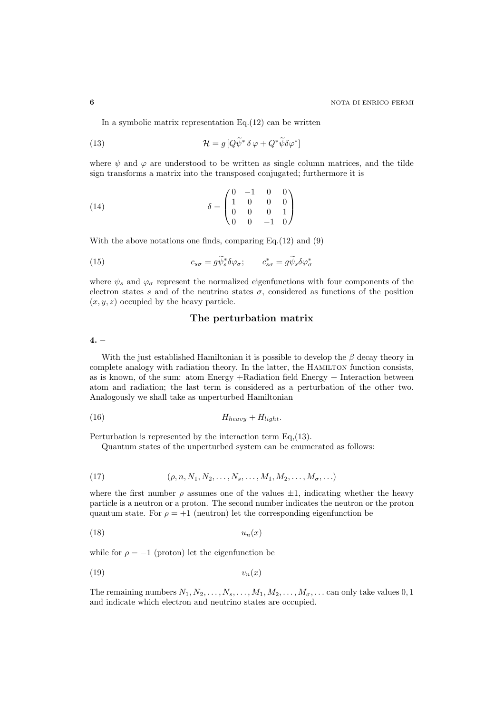In a symbolic matrix representation  $Eq.(12)$  can be written

(13) 
$$
\mathcal{H} = g \left[ Q \widetilde{\psi}^* \, \delta \, \varphi + Q^* \widetilde{\psi} \delta \varphi^* \right]
$$

where  $\psi$  and  $\varphi$  are understood to be written as single column matrices, and the tilde sign transforms a matrix into the transposed conjugated; furthermore it is

(14) 
$$
\delta = \begin{pmatrix} 0 & -1 & 0 & 0 \\ 1 & 0 & 0 & 0 \\ 0 & 0 & 0 & 1 \\ 0 & 0 & -1 & 0 \end{pmatrix}
$$

With the above notations one finds, comparing Eq.(12) and (9)

(15) 
$$
c_{s\sigma} = g\widetilde{\psi}_s^*\delta\varphi_\sigma; \qquad c_{s\sigma}^* = g\widetilde{\psi}_s\delta\varphi_\sigma^*
$$

where  $\psi_s$  and  $\varphi_{\sigma}$  represent the normalized eigenfunctions with four components of the electron states s and of the neutrino states  $\sigma$ , considered as functions of the position  $(x, y, z)$  occupied by the heavy particle.

### The perturbation matrix

 $4. -$ 

With the just established Hamiltonian it is possible to develop the  $\beta$  decay theory in complete analogy with radiation theory. In the latter, the Hamilton function consists, as is known, of the sum: atom Energy +Radiation field Energy + Interaction between atom and radiation; the last term is considered as a perturbation of the other two. Analogously we shall take as unperturbed Hamiltonian

(16) Hheavy + Hlight.

Perturbation is represented by the interaction term Eq,(13).

Quantum states of the unperturbed system can be enumerated as follows:

(17) 
$$
(\rho, n, N_1, N_2, \dots, N_s, \dots, M_1, M_2, \dots, M_{\sigma}, \dots)
$$

where the first number  $\rho$  assumes one of the values  $\pm 1$ , indicating whether the heavy particle is a neutron or a proton. The second number indicates the neutron or the proton quantum state. For  $\rho = +1$  (neutron) let the corresponding eigenfunction be

$$
(18) \t\t\t u_n(x)
$$

while for  $\rho = -1$  (proton) let the eigenfunction be

$$
(19) \t\t v_n(x)
$$

The remaining numbers  $N_1, N_2, \ldots, N_s, \ldots, M_1, M_2, \ldots, M_\sigma, \ldots$  can only take values 0, 1 and indicate which electron and neutrino states are occupied.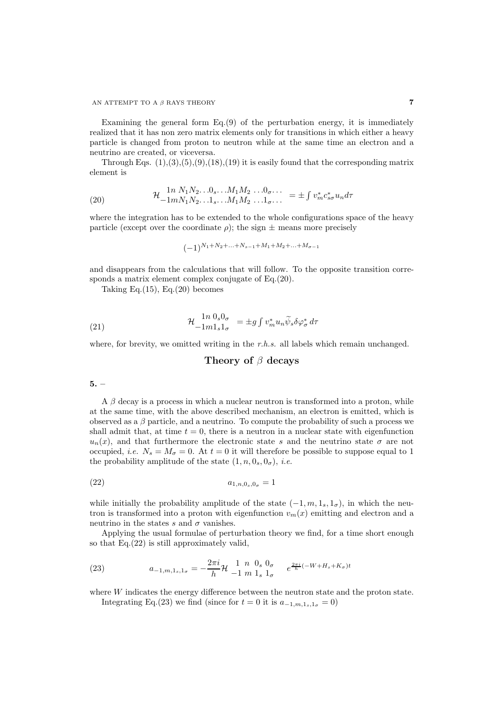#### AN ATTEMPT TO A  $\beta$  RAYS THEORY 7

Examining the general form Eq.(9) of the perturbation energy, it is immediately realized that it has non zero matrix elements only for transitions in which either a heavy particle is changed from proton to neutron while at the same time an electron and a neutrino are created, or viceversa.

Through Eqs.  $(1),(3),(5),(9),(18),(19)$  it is easily found that the corresponding matrix element is

(20) 
$$
\mathcal{H}_{-1mN_1N_2...1_s...M_1M_2...1_{\sigma...}}^{1n N_1N_2...0_s...M_1M_2...0_{\sigma...}} = \pm \int v_m^* c_{s\sigma}^* u_n d\tau
$$

where the integration has to be extended to the whole configurations space of the heavy particle (except over the coordinate  $\rho$ ); the sign  $\pm$  means more precisely

$$
(-1)^{N_1+N_2+\ldots+N_{s-1}+M_1+M_2+\ldots+M_{\sigma-1}}
$$

and disappears from the calculations that will follow. To the opposite transition corresponds a matrix element complex conjugate of Eq.(20).

Taking Eq. $(15)$ , Eq. $(20)$  becomes

(21) 
$$
\mathcal{H} \, \frac{1n \, 0_s 0_\sigma}{-1 m 1_s 1_\sigma} = \pm g \int v_m^* u_n \widetilde{\psi}_s \delta \varphi_\sigma^* d\tau
$$

where, for brevity, we omitted writing in the  $r.h.s.$  all labels which remain unchanged.

# Theory of  $\beta$  decays

5. –

 $A \beta$  decay is a process in which a nuclear neutron is transformed into a proton, while at the same time, with the above described mechanism, an electron is emitted, which is observed as a  $\beta$  particle, and a neutrino. To compute the probability of such a process we shall admit that, at time  $t = 0$ , there is a neutron in a nuclear state with eigenfunction  $u_n(x)$ , and that furthermore the electronic state s and the neutrino state  $\sigma$  are not occupied, *i.e.*  $N_s = M_\sigma = 0$ . At  $t = 0$  it will therefore be possible to suppose equal to 1 the probability amplitude of the state  $(1, n, 0_s, 0_\sigma)$ , *i.e.* 

(22) 
$$
a_{1,n,0_s,0_\sigma} = 1
$$

while initially the probability amplitude of the state  $(-1, m, 1<sub>s</sub>, 1<sub>\sigma</sub>)$ , in which the neutron is transformed into a proton with eigenfunction  $v_m(x)$  emitting and electron and a neutrino in the states  $s$  and  $\sigma$  vanishes.

Applying the usual formulae of perturbation theory we find, for a time short enough so that Eq.(22) is still approximately valid,

(23) 
$$
a_{-1,m,1_s,1_\sigma} = -\frac{2\pi i}{h} \mathcal{H} \begin{array}{cc} 1 & n \ 0 & s \ 0_\sigma \\ -1 & m \ 1_s \ 1_\sigma \end{array} \quad e^{\frac{2\pi i}{h}(-W + H_s + K_\sigma)t}
$$

where  $W$  indicates the energy difference between the neutron state and the proton state.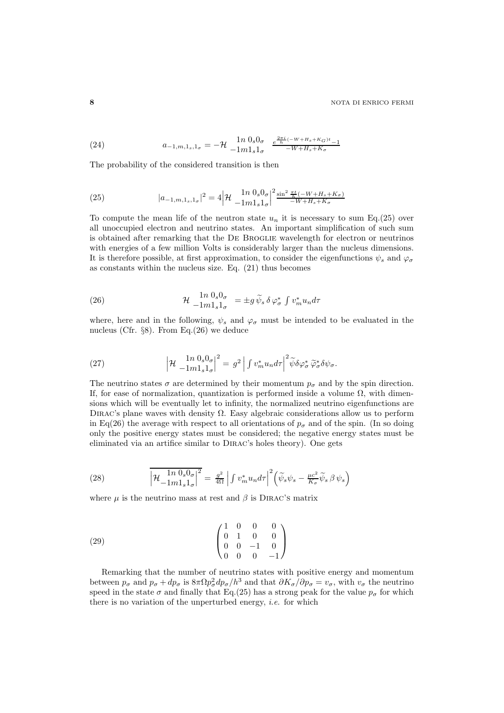(24) 
$$
a_{-1,m,1_s,1_\sigma} = -\mathcal{H} \t\begin{array}{cc} 1n \ 0_s 0_\sigma & \frac{e^{2\pi i} (-W + H_s + K_G)t}{-1m1_s 1_\sigma} \\ -W + H_s + K_\sigma \end{array}
$$

The probability of the considered transition is then

(25) 
$$
|a_{-1,m,1_s,1_\sigma}|^2 = 4 \left| \mathcal{H} \frac{\ln 0_s 0_\sigma}{-1 m 1_s 1_\sigma} \right|^2 \frac{\sin^2 \frac{\pi t}{h} (-W + H_s + K_\sigma)}{-W + H_s + K_\sigma}
$$

To compute the mean life of the neutron state  $u_n$  it is necessary to sum Eq.(25) over all unoccupied electron and neutrino states. An important simplification of such sum is obtained after remarking that the De Broglie wavelength for electron or neutrinos with energies of a few million Volts is considerably larger than the nucleus dimensions. It is therefore possible, at first approximation, to consider the eigenfunctions  $\psi_s$  and  $\varphi_{\sigma}$ as constants within the nucleus size. Eq. (21) thus becomes

(26) 
$$
\mathcal{H} \frac{1n \, 0_s 0_\sigma}{-1 m 1_s 1_\sigma} = \pm g \, \widetilde{\psi}_s \, \delta \, \varphi_\sigma^* \int v_m^* u_n d\tau
$$

where, here and in the following,  $\psi_s$  and  $\varphi_\sigma$  must be intended to be evaluated in the nucleus (Cfr. §8). From Eq.(26) we deduce

(27) 
$$
\left|\mathcal{H}\right|_{-1m}^{1n} \frac{0_s 0_\sigma}{1_\sigma! \mathbf{1}_\sigma} \big|^2 = g^2 \left| \int v_m^* u_n d\tau \right|^2 \widetilde{\psi} \delta \varphi_\sigma^* \widetilde{\varphi}_\sigma^* \delta \psi_\sigma.
$$

The neutrino states  $\sigma$  are determined by their momentum  $p_{\sigma}$  and by the spin direction. If, for ease of normalization, quantization is performed inside a volume  $\Omega$ , with dimensions which will be eventually let to infinity, the normalized neutrino eigenfunctions are DIRAC's plane waves with density  $\Omega$ . Easy algebraic considerations allow us to perform in Eq(26) the average with respect to all orientations of  $p_{\sigma}$  and of the spin. (In so doing only the positive energy states must be considered; the negative energy states must be eliminated via an artifice similar to Dirac's holes theory). One gets

(28) 
$$
\overline{\left|\mathcal{H}_{-1m1_{s}1_{\sigma}}^{1n 0_{s}0_{\sigma}}\right|^{2}} = \frac{g^{2}}{4\Omega} \left| \int v_{m}^{*} u_{n} d\tau \right|^{2} \left(\widetilde{\psi}_{s} \psi_{s} - \frac{\mu c^{2}}{K_{\sigma}} \widetilde{\psi}_{s} \beta \psi_{s}\right)
$$

where  $\mu$  is the neutrino mass at rest and  $\beta$  is DIRAC's matrix

(29) 
$$
\begin{pmatrix} 1 & 0 & 0 & 0 \ 0 & 1 & 0 & 0 \ 0 & 0 & -1 & 0 \ 0 & 0 & 0 & -1 \ \end{pmatrix}
$$

Remarking that the number of neutrino states with positive energy and momentum between  $p_{\sigma}$  and  $p_{\sigma} + dp_{\sigma}$  is  $8\pi \Omega p_{\sigma}^2 dp_{\sigma}/h^3$  and that  $\partial K_{\sigma}/\partial p_{\sigma} = v_{\sigma}$ , with  $v_{\sigma}$  the neutrino speed in the state  $\sigma$  and finally that Eq.(25) has a strong peak for the value  $p_{\sigma}$  for which there is no variation of the unperturbed energy, *i.e.* for which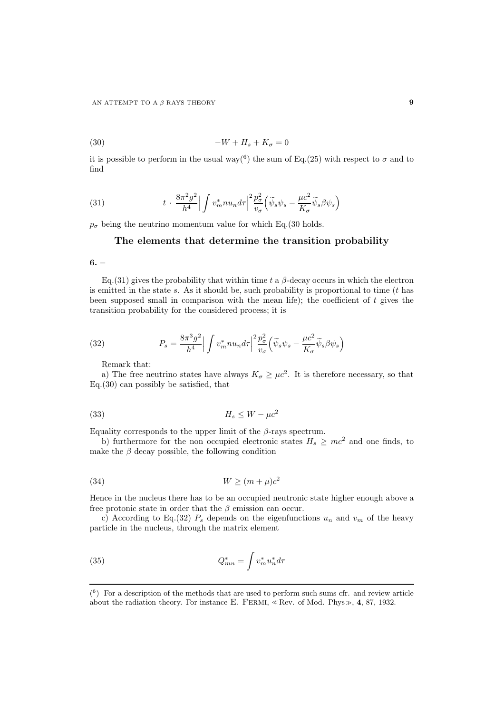$$
(30) \t\t -W + H_s + K_\sigma = 0
$$

it is possible to perform in the usual way<sup>(6</sup>) the sum of Eq.(25) with respect to  $\sigma$  and to find

(31) 
$$
t \cdot \frac{8\pi^2 g^2}{h^4} \Big| \int v_m^* n u_n d\tau \Big|^2 \frac{p_\sigma^2}{v_\sigma} \Big( \widetilde{\psi}_s \psi_s - \frac{\mu c^2}{K_\sigma} \widetilde{\psi}_s \beta \psi_s \Big)
$$

 $p_{\sigma}$  being the neutrino momentum value for which Eq.(30 holds.

# The elements that determine the transition probability

 $6. -$ 

Eq.(31) gives the probability that within time t a  $\beta$ -decay occurs in which the electron is emitted in the state  $s$ . As it should be, such probability is proportional to time  $(t$  has been supposed small in comparison with the mean life); the coefficient of  $t$  gives the transition probability for the considered process; it is

(32) 
$$
P_s = \frac{8\pi^3 g^2}{h^4} \Big| \int v_m^* n u_n d\tau \Big|^2 \frac{p_\sigma^2}{v_\sigma} \Big( \widetilde{\psi}_s \psi_s - \frac{\mu c^2}{K_\sigma} \widetilde{\psi}_s \beta \psi_s \Big)
$$

Remark that:

a) The free neutrino states have always  $K_{\sigma} \geq \mu c^2$ . It is therefore necessary, so that Eq.(30) can possibly be satisfied, that

$$
(33)\t\t\t H_s \le W - \mu c^2
$$

Equality corresponds to the upper limit of the  $\beta$ -rays spectrum.

b) furthermore for the non occupied electronic states  $H_s \geq mc^2$  and one finds, to make the  $\beta$  decay possible, the following condition

$$
(34) \t\t W \ge (m+\mu)c^2
$$

Hence in the nucleus there has to be an occupied neutronic state higher enough above a free protonic state in order that the  $\beta$  emission can occur.

c) According to Eq.(32)  $P_s$  depends on the eigenfunctions  $u_n$  and  $v_m$  of the heavy particle in the nucleus, through the matrix element

(35) 
$$
Q_{mn}^* = \int v_m^* u_n^* d\tau
$$

 $(6)$  For a description of the methods that are used to perform such sums cfr. and review article about the radiation theory. For instance E. Fermi, <sup>≪</sup> Rev. of Mod. Phys≫, 4, 87, 1932.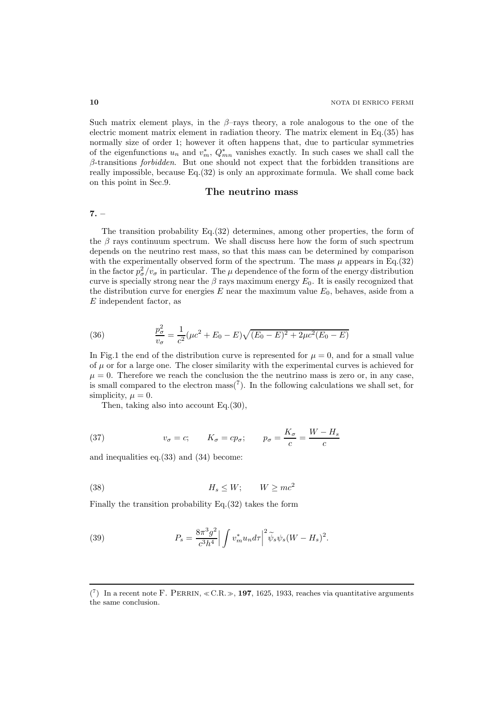Such matrix element plays, in the  $\beta$ -rays theory, a role analogous to the one of the electric moment matrix element in radiation theory. The matrix element in Eq.(35) has normally size of order 1; however it often happens that, due to particular symmetries of the eigenfunctions  $u_n$  and  $v_m^*$ ,  $Q_{mn}^*$  vanishes exactly. In such cases we shall call the  $\beta$ -transitions *forbidden*. But one should not expect that the forbidden transitions are really impossible, because Eq.(32) is only an approximate formula. We shall come back on this point in Sec.9.

### The neutrino mass

7. –

The transition probability Eq.(32) determines, among other properties, the form of the  $\beta$  rays continuum spectrum. We shall discuss here how the form of such spectrum depends on the neutrino rest mass, so that this mass can be determined by comparison with the experimentally observed form of the spectrum. The mass  $\mu$  appears in Eq.(32) in the factor  $p_{\sigma}^2/v_{\sigma}$  in particular. The  $\mu$  dependence of the form of the energy distribution curve is specially strong near the  $\beta$  rays maximum energy  $E_0$ . It is easily recognized that the distribution curve for energies  $E$  near the maximum value  $E_0$ , behaves, aside from a E independent factor, as

(36) 
$$
\frac{p_{\sigma}^2}{v_{\sigma}} = \frac{1}{c^2} (\mu c^2 + E_0 - E) \sqrt{(E_0 - E)^2 + 2\mu c^2 (E_0 - E)}
$$

In Fig.1 the end of the distribution curve is represented for  $\mu = 0$ , and for a small value of  $\mu$  or for a large one. The closer similarity with the experimental curves is achieved for  $\mu = 0$ . Therefore we reach the conclusion the the neutrino mass is zero or, in any case, is small compared to the electron  $\text{mass}(7)$ . In the following calculations we shall set, for simplicity,  $\mu = 0$ .

Then, taking also into account Eq.(30),

(37) 
$$
v_{\sigma} = c;
$$
  $K_{\sigma} = cp_{\sigma};$   $p_{\sigma} = \frac{K_{\sigma}}{c} = \frac{W - H_s}{c}$ 

and inequalities eq.(33) and (34) become:

$$
(38) \t\t\t H_s \le W; \t\t W \ge mc^2
$$

Finally the transition probability Eq.(32) takes the form

(39) 
$$
P_s = \frac{8\pi^3 g^2}{c^3 h^4} \left| \int v_m^* u_n d\tau \right|^2 \widetilde{\psi}_s \psi_s (W - H_s)^2.
$$

 $(7)$  In a recent note F. PERRIN,  $\ll$  C.R.  $\gg$ , 197, 1625, 1933, reaches via quantitative arguments the same conclusion.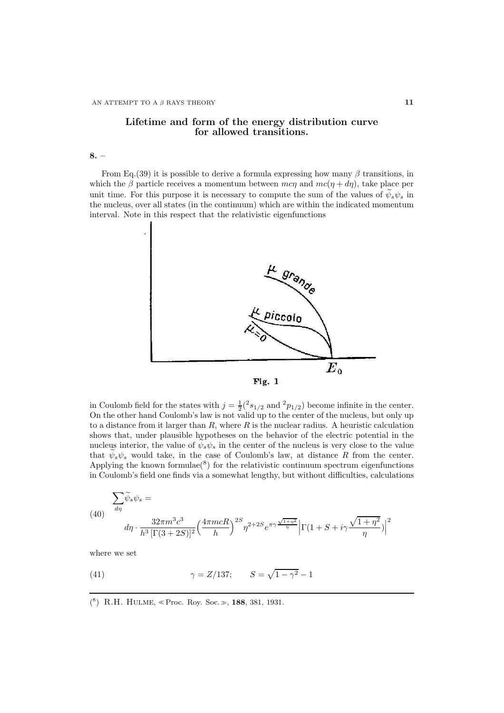# Lifetime and form of the energy distribution curve for allowed transitions.

8. –

From Eq.(39) it is possible to derive a formula expressing how many  $\beta$  transitions, in which the  $\beta$  particle receives a momentum between mc $\eta$  and  $mc(\eta + d\eta)$ , take place per unit time. For this purpose it is necessary to compute the sum of the values of  $\psi_s \psi_s$  in the nucleus, over all states (in the continuum) which are within the indicated momentum interval. Note in this respect that the relativistic eigenfunctions



in Coulomb field for the states with  $j = \frac{1}{2}({}^2s_{1/2}$  and  ${}^2p_{1/2})$  become infinite in the center. On the other hand Coulomb's law is not valid up to the center of the nucleus, but only up to a distance from it larger than  $R$ , where  $R$  is the nuclear radius. A heuristic calculation shows that, under plausible hypotheses on the behavior of the electric potential in the nucleus interior, the value of  $\psi_s \psi_s$  in the center of the nucleus is very close to the value that  $\psi_s \psi_s$  would take, in the case of Coulomb's law, at distance R from the center. Applying the known formulae( ${}^{8}$ ) for the relativistic continuum spectrum eigenfunctions in Coulomb's field one finds via a somewhat lengthy, but without difficulties, calculations

(40) 
$$
\sum_{d\eta} \widetilde{\psi}_s \psi_s =
$$

$$
d\eta \cdot \frac{32\pi m^3 c^3}{h^3 \left[ \Gamma(3+2S) \right]^2} \left( \frac{4\pi m c R}{h} \right)^{2S} \eta^{2+2S} e^{\pi \gamma \frac{\sqrt{1+\eta^2}}{\eta}} \left| \Gamma(1+S+i\gamma \frac{\sqrt{1+\eta^2}}{\eta}) \right|^2
$$

where we set

(41) 
$$
\gamma = Z/137;
$$
  $S = \sqrt{1 - \gamma^2} - 1$ 

( 8 ) R.H. Hulme, <sup>≪</sup> Proc. Roy. Soc.≫, 188, 381, 1931.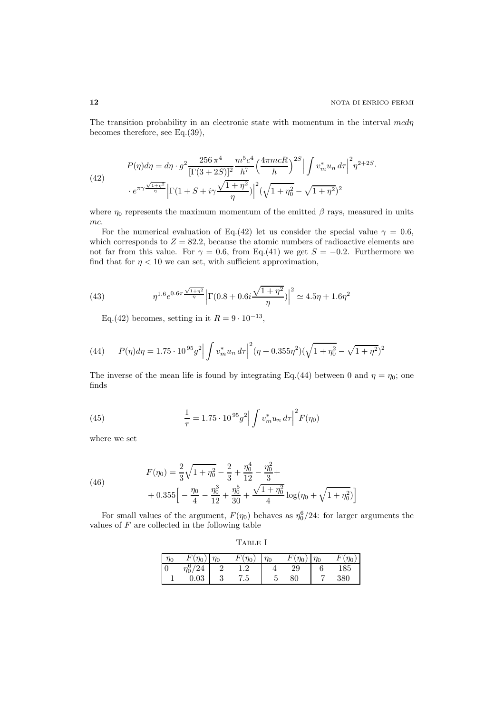The transition probability in an electronic state with momentum in the interval  $\mathit{mcd}\eta$ becomes therefore, see Eq.(39),

(42) 
$$
P(\eta)d\eta = d\eta \cdot g^2 \frac{256 \pi^4}{[\Gamma(3+2S)]^2} \frac{m^5 c^4}{h^7} \left(\frac{4\pi mcR}{h}\right)^{2S} \left| \int v_m^* u_n \, d\tau \right|^2 \eta^{2+2S}.
$$

$$
+ e^{\pi\gamma \frac{\sqrt{1+\eta^2}}{\eta}} \left| \Gamma(1+S+i\gamma \frac{\sqrt{1+\eta^2}}{\eta}) \right|^2 (\sqrt{1+\eta_0^2} - \sqrt{1+\eta^2})^2
$$

where  $\eta_0$  represents the maximum momentum of the emitted  $\beta$  rays, measured in units mc.

For the numerical evaluation of Eq.(42) let us consider the special value  $\gamma = 0.6$ , which corresponds to  $Z = 82.2$ , because the atomic numbers of radioactive elements are not far from this value. For  $\gamma = 0.6$ , from Eq.(41) we get  $S = -0.2$ . Furthermore we find that for  $\eta < 10$  we can set, with sufficient approximation,

(43) 
$$
\eta^{1.6} e^{0.6\pi \frac{\sqrt{1+\eta^2}}{\eta}} \left| \Gamma(0.8+0.6i \frac{\sqrt{1+\eta^2}}{\eta}) \right|^2 \simeq 4.5\eta + 1.6\eta^2
$$

Eq.(42) becomes, setting in it  $R = 9 \cdot 10^{-13}$ ,

(44) 
$$
P(\eta)d\eta = 1.75 \cdot 10^{95} g^2 \left| \int v_m^* u_n \, d\tau \right|^2 (\eta + 0.355 \eta^2) (\sqrt{1 + \eta_0^2} - \sqrt{1 + \eta^2})^2
$$

The inverse of the mean life is found by integrating Eq.(44) between 0 and  $\eta = \eta_0$ ; one finds

(45) 
$$
\frac{1}{\tau} = 1.75 \cdot 10^{95} g^2 \left| \int v_m^* u_n \, d\tau \right|^2 F(\eta_0)
$$

where we set

(46) 
$$
F(\eta_0) = \frac{2}{3}\sqrt{1+\eta_0^2} - \frac{2}{3} + \frac{\eta_0^4}{12} - \frac{\eta_0^2}{3} + \frac{1}{3}\eta_0^5 + \frac{\sqrt{1+\eta_0^2}}{4}\log(\eta_0 + \sqrt{1+\eta_0^2})
$$

For small values of the argument,  $F(\eta_0)$  behaves as  $\eta_0^6/24$ : for larger arguments the values of  $F$  are collected in the following table

|--|--|

| $\eta_0$ | $F(\eta_0)$   | ) $\eta_0$ | $F(\eta_0)$ | $\eta_0$ | F<br>$\eta_0$ | $\eta_0$ | $\eta_0$ |
|----------|---------------|------------|-------------|----------|---------------|----------|----------|
|          | $\eta_0^6/24$ |            |             |          | 29            |          | 185      |
|          | 0.03          |            | 7.5         |          | 80            |          | 380      |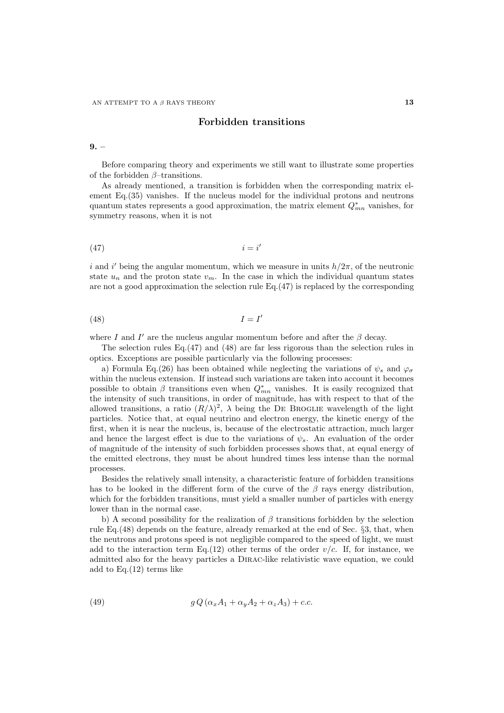# Forbidden transitions

 $9. -$ 

Before comparing theory and experiments we still want to illustrate some properties of the forbidden  $\beta$ -transitions.

As already mentioned, a transition is forbidden when the corresponding matrix element Eq.(35) vanishes. If the nucleus model for the individual protons and neutrons quantum states represents a good approximation, the matrix element  $Q_{mn}^*$  vanishes, for symmetry reasons, when it is not

$$
(47) \t\t i = i'
$$

i and i' being the angular momentum, which we measure in units  $h/2\pi$ , of the neutronic state  $u_n$  and the proton state  $v_m$ . In the case in which the individual quantum states are not a good approximation the selection rule Eq.(47) is replaced by the corresponding

$$
(48)\t\t I = I'
$$

where I and I' are the nucleus angular momentum before and after the  $\beta$  decay.

The selection rules Eq. $(47)$  and  $(48)$  are far less rigorous than the selection rules in optics. Exceptions are possible particularly via the following processes:

a) Formula Eq.(26) has been obtained while neglecting the variations of  $\psi_s$  and  $\varphi_{\sigma}$ within the nucleus extension. If instead such variations are taken into account it becomes possible to obtain  $\beta$  transitions even when  $Q_{mn}^*$  vanishes. It is easily recognized that the intensity of such transitions, in order of magnitude, has with respect to that of the allowed transitions, a ratio  $(R/\lambda)^2$ ,  $\lambda$  being the DE BROGLIE wavelength of the light particles. Notice that, at equal neutrino and electron energy, the kinetic energy of the first, when it is near the nucleus, is, because of the electrostatic attraction, much larger and hence the largest effect is due to the variations of  $\psi_s$ . An evaluation of the order of magnitude of the intensity of such forbidden processes shows that, at equal energy of the emitted electrons, they must be about hundred times less intense than the normal processes.

Besides the relatively small intensity, a characteristic feature of forbidden transitions has to be looked in the different form of the curve of the  $\beta$  rays energy distribution, which for the forbidden transitions, must yield a smaller number of particles with energy lower than in the normal case.

b) A second possibility for the realization of  $\beta$  transitions forbidden by the selection rule Eq.(48) depends on the feature, already remarked at the end of Sec. §3, that, when the neutrons and protons speed is not negligible compared to the speed of light, we must add to the interaction term Eq.(12) other terms of the order  $v/c$ . If, for instance, we admitted also for the heavy particles a Dirac-like relativistic wave equation, we could add to Eq. $(12)$  terms like

(49) 
$$
g Q (\alpha_x A_1 + \alpha_y A_2 + \alpha_z A_3) + c.c.
$$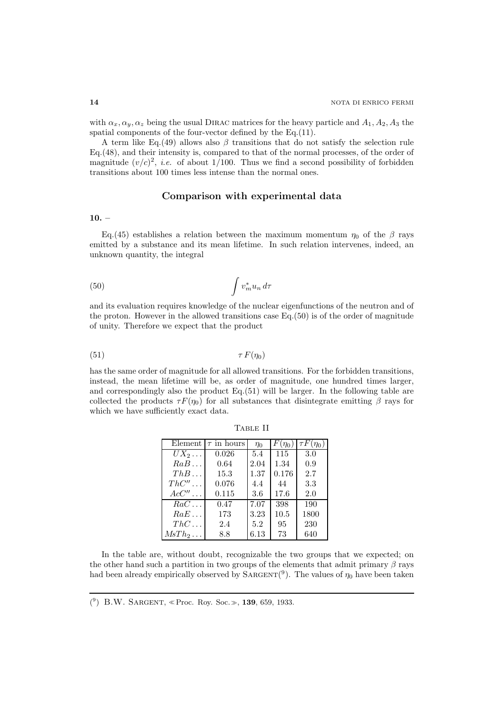with  $\alpha_x, \alpha_y, \alpha_z$  being the usual DIRAC matrices for the heavy particle and  $A_1, A_2, A_3$  the spatial components of the four-vector defined by the Eq.(11).

A term like Eq.(49) allows also  $\beta$  transitions that do not satisfy the selection rule Eq.(48), and their intensity is, compared to that of the normal processes, of the order of magnitude  $(v/c)^2$ , *i.e.* of about 1/100. Thus we find a second possibility of forbidden transitions about 100 times less intense than the normal ones.

### Comparison with experimental data

 $10. -$ 

Eq.(45) establishes a relation between the maximum momentum  $\eta_0$  of the  $\beta$  rays emitted by a substance and its mean lifetime. In such relation intervenes, indeed, an unknown quantity, the integral

$$
(50)\qquad \qquad \int v_m^* u_n \, d\tau
$$

and its evaluation requires knowledge of the nuclear eigenfunctions of the neutron and of the proton. However in the allowed transitions case  $Eq.(50)$  is of the order of magnitude of unity. Therefore we expect that the product

$$
\tau F(\eta_0) \qquad \qquad \tau F(\eta_0)
$$

has the same order of magnitude for all allowed transitions. For the forbidden transitions, instead, the mean lifetime will be, as order of magnitude, one hundred times larger, and correspondingly also the product Eq.(51) will be larger. In the following table are collected the products  $\tau F(\eta_0)$  for all substances that disintegrate emitting  $\beta$  rays for which we have sufficiently exact data.

| Element                 | $\tau$ in hours | $\eta_0$ | $F(\eta_0)$ | $\tau F(\eta_0)$ |
|-------------------------|-----------------|----------|-------------|------------------|
| $\overline{U}X_2\ldots$ | 0.026           | 5.4      | 115         | 3.0              |
| RaB                     | 0.64            | 2.04     | 1.34        | 0.9              |
| ThB                     | 15.3            | 1.37     | 0.176       | 2.7              |
| $ThC'' \dots$           | 0.076           | 4.4      | 44          | 3.3              |
| $Acc'' \dots$           | 0.115           | 3.6      | 17.6        | 2.0              |
| $RaC \dots$             | 0.47            | 7.07     | 398         | 190              |
| RaE                     | 173             | 3.23     | 10.5        | 1800             |
| $ThC \dots$             | 2.4             | 5.2      | 95          | 230              |
| $MsTh_2\ldots$          | 8.8             | 6.13     | 73          | 640              |

Table II

In the table are, without doubt, recognizable the two groups that we expected; on the other hand such a partition in two groups of the elements that admit primary  $\beta$  rays had been already empirically observed by  $\text{SARGENT}(^{9})$ . The values of  $\eta_0$  have been taken

( 9 ) B.W. Sargent, <sup>≪</sup>Proc. Roy. Soc.≫, 139, 659, 1933.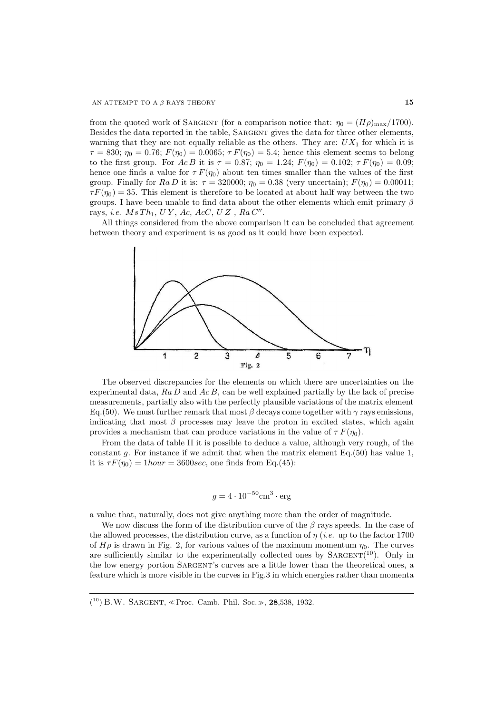from the quoted work of SARGENT (for a comparison notice that:  $\eta_0 = (H\rho)_{\text{max}}/1700$ ). Besides the data reported in the table, SARGENT gives the data for three other elements, warning that they are not equally reliable as the others. They are:  $UX_1$  for which it is  $\tau = 830; \eta_0 = 0.76; F(\eta_0) = 0.0065; \tau F(\eta_0) = 5.4;$  hence this element seems to belong to the first group. For  $AcB$  it is  $\tau = 0.87$ ;  $\eta_0 = 1.24$ ;  $F(\eta_0) = 0.102$ ;  $\tau F(\eta_0) = 0.09$ ; hence one finds a value for  $\tau F(\eta_0)$  about ten times smaller than the values of the first group. Finally for  $Ra D$  it is:  $\tau = 320000; \eta_0 = 0.38$  (very uncertain);  $F(\eta_0) = 0.00011;$  $\tau F(\eta_0) = 35$ . This element is therefore to be located at about half way between the two groups. I have been unable to find data about the other elements which emit primary  $\beta$ rays, *i.e.*  $MsTh_1, UY, Ac, AcC, UZ, Ra C''$ .

All things considered from the above comparison it can be concluded that agreement between theory and experiment is as good as it could have been expected.



The observed discrepancies for the elements on which there are uncertainties on the experimental data,  $Ra D$  and  $Ac B$ , can be well explained partially by the lack of precise measurements, partially also with the perfectly plausible variations of the matrix element Eq. (50). We must further remark that most  $\beta$  decays come together with  $\gamma$  rays emissions, indicating that most  $\beta$  processes may leave the proton in excited states, which again provides a mechanism that can produce variations in the value of  $\tau F(\eta_0)$ .

From the data of table II it is possible to deduce a value, although very rough, of the constant g. For instance if we admit that when the matrix element Eq.  $(50)$  has value 1, it is  $\tau F(\eta_0) = 1 hour = 3600 sec$ , one finds from Eq.(45):

$$
g = 4 \cdot 10^{-50} \text{cm}^3 \cdot \text{erg}
$$

a value that, naturally, does not give anything more than the order of magnitude.

We now discuss the form of the distribution curve of the  $\beta$  rays speeds. In the case of the allowed processes, the distribution curve, as a function of  $\eta$  (*i.e.* up to the factor 1700 of  $H\rho$  is drawn in Fig. 2, for various values of the maximum momentum  $\eta_0$ . The curves are sufficiently similar to the experimentally collected ones by  $SARGENT<sup>(10)</sup>$ . Only in the low energy portion Sargent's curves are a little lower than the theoretical ones, a feature which is more visible in the curves in Fig.3 in which energies rather than momenta

<sup>(</sup> <sup>10</sup>) B.W. Sargent, <sup>≪</sup>Proc. Camb. Phil. Soc.≫, 28,538, 1932.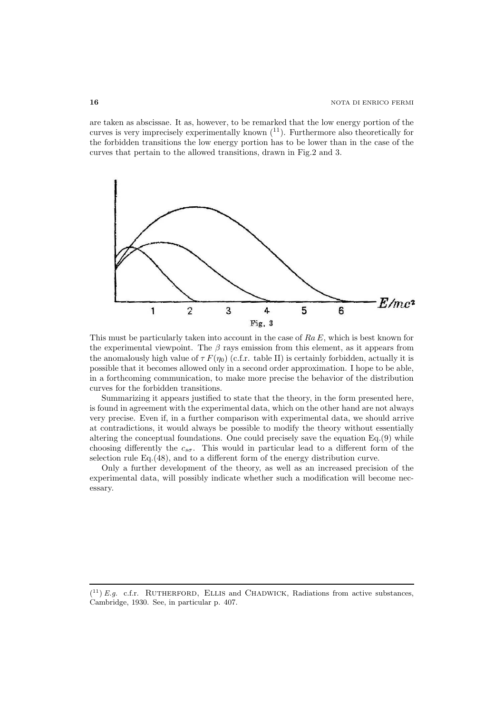are taken as abscissae. It as, however, to be remarked that the low energy portion of the curves is very imprecisely experimentally known  $(11)$ . Furthermore also theoretically for the forbidden transitions the low energy portion has to be lower than in the case of the curves that pertain to the allowed transitions, drawn in Fig.2 and 3.



This must be particularly taken into account in the case of  $Ra E$ , which is best known for the experimental viewpoint. The  $\beta$  rays emission from this element, as it appears from the anomalously high value of  $\tau F(\eta_0)$  (c.f.r. table II) is certainly forbidden, actually it is possible that it becomes allowed only in a second order approximation. I hope to be able, in a forthcoming communication, to make more precise the behavior of the distribution curves for the forbidden transitions.

Summarizing it appears justified to state that the theory, in the form presented here, is found in agreement with the experimental data, which on the other hand are not always very precise. Even if, in a further comparison with experimental data, we should arrive at contradictions, it would always be possible to modify the theory without essentially altering the conceptual foundations. One could precisely save the equation Eq.(9) while choosing differently the  $c_{s\sigma}$ . This would in particular lead to a different form of the selection rule Eq.(48), and to a different form of the energy distribution curve.

Only a further development of the theory, as well as an increased precision of the experimental data, will possibly indicate whether such a modification will become necessary.

 $(1)$  E.g. c.f.r. RUTHERFORD, ELLIS and CHADWICK, Radiations from active substances, Cambridge, 1930. See, in particular p. 407.